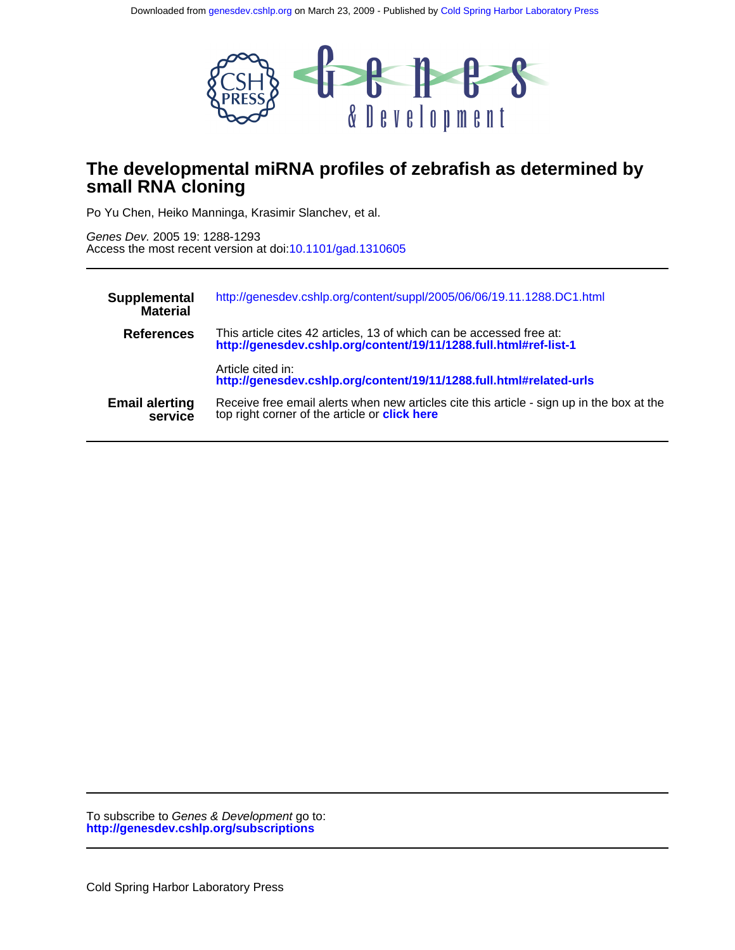

# **small RNA cloning The developmental miRNA profiles of zebrafish as determined by**

Po Yu Chen, Heiko Manninga, Krasimir Slanchev, et al.

Access the most recent version at doi[:10.1101/gad.1310605](http://genesdev.cshlp.org/lookup/doi/10.1101/gad.1310605) Genes Dev. 2005 19: 1288-1293

| Supplemental<br><b>Material</b>  | http://genesdev.cshlp.org/content/suppl/2005/06/06/19.11.1288.DC1.html                                                                            |
|----------------------------------|---------------------------------------------------------------------------------------------------------------------------------------------------|
| <b>References</b>                | This article cites 42 articles, 13 of which can be accessed free at:<br>http://genesdev.cshlp.org/content/19/11/1288.full.html#ref-list-1         |
|                                  | Article cited in:<br>http://genesdev.cshlp.org/content/19/11/1288.full.html#related-urls                                                          |
| <b>Email alerting</b><br>service | Receive free email alerts when new articles cite this article - sign up in the box at the<br>top right corner of the article or <b>click here</b> |

**<http://genesdev.cshlp.org/subscriptions>** To subscribe to Genes & Development go to: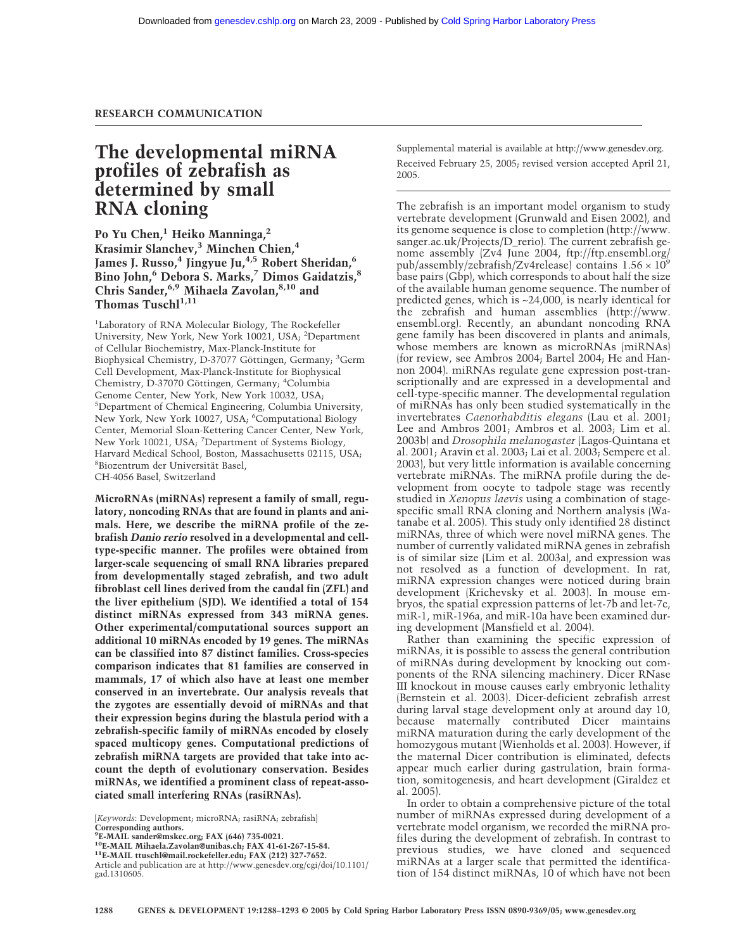## **RESEARCH COMMUNICATION**

## **The developmental miRNA profiles of zebrafish as determined by small RNA cloning**

Po Yu Chen,<sup>1</sup> Heiko Manninga,<sup>2</sup> **Krasimir Slanchev,3 Minchen Chien,4** James J. Russo,<sup>4</sup> Jingyue Ju,<sup>4,5</sup> Robert Sheridan,<sup>6</sup> **Bino John,6 Debora S. Marks,7 Dimos Gaidatzis,8 Chris Sander,6,9 Mihaela Zavolan,8,10 and** Thomas Tusch<sup>1,11</sup>

1 Laboratory of RNA Molecular Biology, The Rockefeller University, New York, New York 10021, USA; <sup>2</sup>Department of Cellular Biochemistry, Max-Planck-Institute for Biophysical Chemistry, D-37077 Göttingen, Germany; <sup>3</sup>Germ Cell Development, Max-Planck-Institute for Biophysical Chemistry, D-37070 Göttingen, Germany; <sup>4</sup>Columbia Genome Center, New York, New York 10032, USA; 5 Department of Chemical Engineering, Columbia University, New York, New York 10027, USA; <sup>6</sup>Computational Biology Center, Memorial Sloan-Kettering Cancer Center, New York, New York 10021, USA; <sup>7</sup>Department of Systems Biology, Harvard Medical School, Boston, Massachusetts 02115, USA; 8 Biozentrum der Universität Basel, CH-4056 Basel, Switzerland

**MicroRNAs (miRNAs) represent a family of small, regulatory, noncoding RNAs that are found in plants and animals. Here, we describe the miRNA profile of the zebrafish** *Danio rerio* **resolved in a developmental and celltype-specific manner. The profiles were obtained from larger-scale sequencing of small RNA libraries prepared from developmentally staged zebrafish, and two adult fibroblast cell lines derived from the caudal fin (ZFL) and the liver epithelium (SJD). We identified a total of 154 distinct miRNAs expressed from 343 miRNA genes. Other experimental/computational sources support an additional 10 miRNAs encoded by 19 genes. The miRNAs can be classified into 87 distinct families. Cross-species comparison indicates that 81 families are conserved in mammals, 17 of which also have at least one member conserved in an invertebrate. Our analysis reveals that the zygotes are essentially devoid of miRNAs and that their expression begins during the blastula period with a zebrafish-specific family of miRNAs encoded by closely spaced multicopy genes. Computational predictions of zebrafish miRNA targets are provided that take into account the depth of evolutionary conservation. Besides miRNAs, we identified a prominent class of repeat-associated small interfering RNAs (rasiRNAs).**

**10E-MAIL Mihaela.Zavolan@unibas.ch; FAX 41-61-267-15-84. 11E-MAIL ttuschl@mail.rockefeller.edu; FAX (212) 327-7652.**

Supplemental material is available at http://www.genesdev.org. Received February 25, 2005; revised version accepted April 21, 2005.

The zebrafish is an important model organism to study vertebrate development (Grunwald and Eisen 2002), and its genome sequence is close to completion (http://www. sanger.ac.uk/Projects/D\_rerio). The current zebrafish genome assembly (Zv4 June 2004, ftp://ftp.ensembl.org/ pub/assembly/zebrafish/Zv4release) contains  $1.56 \times 10^9$ base pairs (Gbp), which corresponds to about half the size of the available human genome sequence. The number of predicted genes, which is ∼24,000, is nearly identical for the zebrafish and human assemblies (http://www. ensembl.org). Recently, an abundant noncoding RNA gene family has been discovered in plants and animals, whose members are known as microRNAs (miRNAs) (for review, see Ambros 2004; Bartel 2004; He and Hannon 2004). miRNAs regulate gene expression post-transcriptionally and are expressed in a developmental and cell-type-specific manner. The developmental regulation of miRNAs has only been studied systematically in the invertebrates *Caenorhabditis elegans* (Lau et al. 2001; Lee and Ambros 2001; Ambros et al. 2003; Lim et al. 2003b) and *Drosophila melanogaster* (Lagos-Quintana et al. 2001; Aravin et al. 2003; Lai et al. 2003; Sempere et al. 2003), but very little information is available concerning vertebrate miRNAs. The miRNA profile during the development from oocyte to tadpole stage was recently studied in *Xenopus laevis* using a combination of stagespecific small RNA cloning and Northern analysis (Watanabe et al. 2005). This study only identified 28 distinct miRNAs, three of which were novel miRNA genes. The number of currently validated miRNA genes in zebrafish is of similar size (Lim et al. 2003a), and expression was not resolved as a function of development. In rat, miRNA expression changes were noticed during brain development (Krichevsky et al. 2003). In mouse embryos, the spatial expression patterns of let-7b and let-7c, miR-1, miR-196a, and miR-10a have been examined during development (Mansfield et al. 2004).

Rather than examining the specific expression of miRNAs, it is possible to assess the general contribution of miRNAs during development by knocking out components of the RNA silencing machinery. Dicer RNase III knockout in mouse causes early embryonic lethality (Bernstein et al. 2003). Dicer-deficient zebrafish arrest during larval stage development only at around day 10, because maternally contributed Dicer maintains miRNA maturation during the early development of the homozygous mutant (Wienholds et al. 2003). However, if the maternal Dicer contribution is eliminated, defects appear much earlier during gastrulation, brain formation, somitogenesis, and heart development (Giraldez et al. 2005).

In order to obtain a comprehensive picture of the total number of miRNAs expressed during development of a vertebrate model organism, we recorded the miRNA profiles during the development of zebrafish. In contrast to previous studies, we have cloned and sequenced miRNAs at a larger scale that permitted the identification of 154 distinct miRNAs, 10 of which have not been

<sup>[</sup>*Keywords*: Development; microRNA; rasiRNA; zebrafish] **Corresponding authors.**

**<sup>9</sup> E-MAIL sander@mskcc.org; FAX (646) 735-0021.**

Article and publication are at http://www.genesdev.org/cgi/doi/10.1101/ gad.1310605.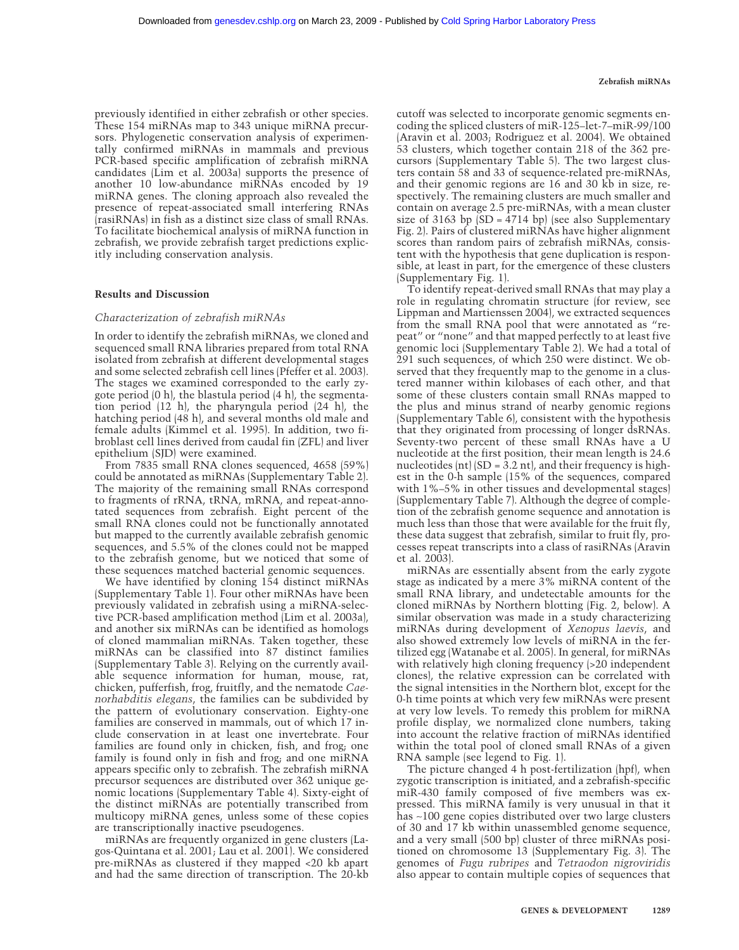### previously identified in either zebrafish or other species. These 154 miRNAs map to 343 unique miRNA precursors. Phylogenetic conservation analysis of experimentally confirmed miRNAs in mammals and previous PCR-based specific amplification of zebrafish miRNA candidates (Lim et al. 2003a) supports the presence of another 10 low-abundance miRNAs encoded by 19 miRNA genes. The cloning approach also revealed the presence of repeat-associated small interfering RNAs (rasiRNAs) in fish as a distinct size class of small RNAs. To facilitate biochemical analysis of miRNA function in zebrafish, we provide zebrafish target predictions explicitly including conservation analysis.

### **Results and Discussion**

#### *Characterization of zebrafish miRNAs*

In order to identify the zebrafish miRNAs, we cloned and sequenced small RNA libraries prepared from total RNA isolated from zebrafish at different developmental stages and some selected zebrafish cell lines (Pfeffer et al. 2003). The stages we examined corresponded to the early zygote period (0 h), the blastula period (4 h), the segmentation period (12 h), the pharyngula period (24 h), the hatching period (48 h), and several months old male and female adults (Kimmel et al. 1995). In addition, two fibroblast cell lines derived from caudal fin (ZFL) and liver epithelium (SJD) were examined.

From 7835 small RNA clones sequenced, 4658 (59%) could be annotated as miRNAs (Supplementary Table 2). The majority of the remaining small RNAs correspond to fragments of rRNA, tRNA, mRNA, and repeat-annotated sequences from zebrafish. Eight percent of the small RNA clones could not be functionally annotated but mapped to the currently available zebrafish genomic sequences, and 5.5% of the clones could not be mapped to the zebrafish genome, but we noticed that some of these sequences matched bacterial genomic sequences.

We have identified by cloning 154 distinct miRNAs (Supplementary Table 1). Four other miRNAs have been previously validated in zebrafish using a miRNA-selective PCR-based amplification method (Lim et al. 2003a), and another six miRNAs can be identified as homologs of cloned mammalian miRNAs. Taken together, these miRNAs can be classified into 87 distinct families (Supplementary Table 3). Relying on the currently available sequence information for human, mouse, rat, chicken, pufferfish, frog, fruitfly, and the nematode *Caenorhabditis elegans*, the families can be subdivided by the pattern of evolutionary conservation. Eighty-one families are conserved in mammals, out of which 17 include conservation in at least one invertebrate. Four families are found only in chicken, fish, and frog; one family is found only in fish and frog; and one miRNA appears specific only to zebrafish. The zebrafish miRNA precursor sequences are distributed over 362 unique genomic locations (Supplementary Table 4). Sixty-eight of the distinct miRNAs are potentially transcribed from multicopy miRNA genes, unless some of these copies are transcriptionally inactive pseudogenes.

miRNAs are frequently organized in gene clusters (Lagos-Quintana et al. 2001; Lau et al. 2001). We considered pre-miRNAs as clustered if they mapped <20 kb apart and had the same direction of transcription. The 20-kb cutoff was selected to incorporate genomic segments encoding the spliced clusters of miR-125–let-7–miR-99/100 (Aravin et al. 2003; Rodriguez et al. 2004). We obtained 53 clusters, which together contain 218 of the 362 precursors (Supplementary Table 5). The two largest clusters contain 58 and 33 of sequence-related pre-miRNAs, and their genomic regions are 16 and 30 kb in size, respectively. The remaining clusters are much smaller and contain on average 2.5 pre-miRNAs, with a mean cluster size of 3163 bp  $[SD = 4714$  bp) (see also Supplementary Fig. 2). Pairs of clustered miRNAs have higher alignment scores than random pairs of zebrafish miRNAs, consistent with the hypothesis that gene duplication is responsible, at least in part, for the emergence of these clusters (Supplementary Fig. 1).

To identify repeat-derived small RNAs that may play a role in regulating chromatin structure (for review, see Lippman and Martienssen 2004), we extracted sequences from the small RNA pool that were annotated as "repeat" or "none" and that mapped perfectly to at least five genomic loci (Supplementary Table 2). We had a total of 291 such sequences, of which 250 were distinct. We observed that they frequently map to the genome in a clustered manner within kilobases of each other, and that some of these clusters contain small RNAs mapped to the plus and minus strand of nearby genomic regions (Supplementary Table 6), consistent with the hypothesis that they originated from processing of longer dsRNAs. Seventy-two percent of these small RNAs have a U nucleotide at the first position, their mean length is 24.6 nucleotides  $\int \ln |\sinh(0) - \sinh(0)|$  and their frequency is highest in the 0-h sample (15% of the sequences, compared with 1%–5% in other tissues and developmental stages) (Supplementary Table 7). Although the degree of completion of the zebrafish genome sequence and annotation is much less than those that were available for the fruit fly, these data suggest that zebrafish, similar to fruit fly, processes repeat transcripts into a class of rasiRNAs (Aravin et al. 2003).

miRNAs are essentially absent from the early zygote stage as indicated by a mere 3% miRNA content of the small RNA library, and undetectable amounts for the cloned miRNAs by Northern blotting (Fig. 2, below). A similar observation was made in a study characterizing miRNAs during development of *Xenopus laevis*, and also showed extremely low levels of miRNA in the fertilized egg (Watanabe et al. 2005). In general, for miRNAs with relatively high cloning frequency (>20 independent clones), the relative expression can be correlated with the signal intensities in the Northern blot, except for the 0-h time points at which very few miRNAs were present at very low levels. To remedy this problem for miRNA profile display, we normalized clone numbers, taking into account the relative fraction of miRNAs identified within the total pool of cloned small RNAs of a given RNA sample (see legend to Fig. 1).

The picture changed 4 h post-fertilization (hpf), when zygotic transcription is initiated, and a zebrafish-specific miR-430 family composed of five members was expressed. This miRNA family is very unusual in that it has ∼100 gene copies distributed over two large clusters of 30 and 17 kb within unassembled genome sequence, and a very small (500 bp) cluster of three miRNAs positioned on chromosome 13 (Supplementary Fig. 3). The genomes of *Fugu rubripes* and *Tetraodon nigroviridis* also appear to contain multiple copies of sequences that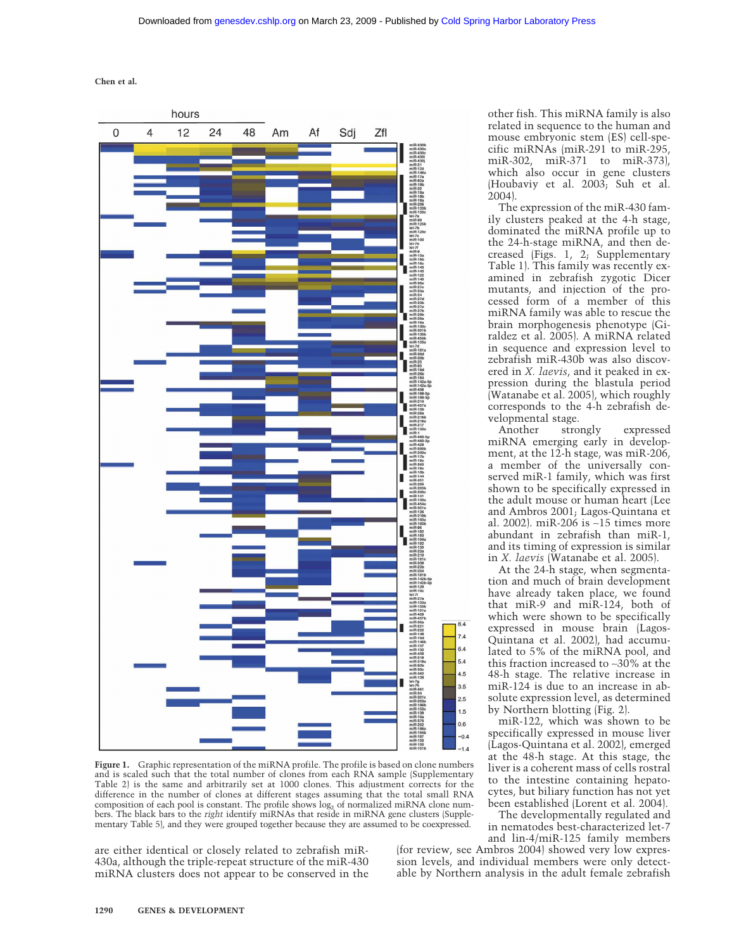**Chen et al.**



**Figure 1.** Graphic representation of the miRNA profile. The profile is based on clone numbers and is scaled such that the total number of clones from each RNA sample (Supplementary Table 2) is the same and arbitrarily set at 1000 clones. This adjustment corrects for the difference in the number of clones at different stages assuming that the total small RNA composition of each pool is constant. The profile shows  $log_2$  of normalized miRNA clone numbers. The black bars to the *right* identify miRNAs that reside in miRNA gene clusters (Supplementary Table 5), and they were grouped together because they are assumed to be coexpressed.

are either identical or closely related to zebrafish miR-430a, although the triple-repeat structure of the miR-430 miRNA clusters does not appear to be conserved in the other fish. This miRNA family is also related in sequence to the human and mouse embryonic stem (ES) cell-specific miRNAs (miR-291 to miR-295, miR-302, miR-371 to miR-373), which also occur in gene clusters (Houbaviy et al. 2003; Suh et al. 2004).

The expression of the miR-430 family clusters peaked at the 4-h stage, dominated the miRNA profile up to the 24-h-stage miRNA, and then decreased (Figs. 1, 2; Supplementary Table 1). This family was recently examined in zebrafish zygotic Dicer mutants, and injection of the processed form of a member of this miRNA family was able to rescue the brain morphogenesis phenotype (Giraldez et al. 2005). A miRNA related in sequence and expression level to zebrafish miR-430b was also discovered in *X. laevis*, and it peaked in expression during the blastula period (Watanabe et al. 2005), which roughly corresponds to the 4-h zebrafish developmental stage.

Another strongly expressed miRNA emerging early in development, at the 12-h stage, was miR-206, a member of the universally conserved miR-1 family, which was first shown to be specifically expressed in the adult mouse or human heart (Lee and Ambros 2001; Lagos-Quintana et al. 2002). miR-206 is ∼15 times more abundant in zebrafish than miR-1, and its timing of expression is similar in *X. laevis* (Watanabe et al. 2005).

At the 24-h stage, when segmentation and much of brain development have already taken place, we found that miR-9 and miR-124, both of which were shown to be specifically expressed in mouse brain (Lagos-Quintana et al. 2002), had accumulated to 5% of the miRNA pool, and this fraction increased to ∼30% at the 48-h stage. The relative increase in miR-124 is due to an increase in absolute expression level, as determined by Northern blotting (Fig. 2).

miR-122, which was shown to be specifically expressed in mouse liver (Lagos-Quintana et al. 2002), emerged at the 48-h stage. At this stage, the liver is a coherent mass of cells rostral to the intestine containing hepatocytes, but biliary function has not yet been established (Lorent et al. 2004).

The developmentally regulated and in nematodes best-characterized let-7 and lin-4/miR-125 family members

(for review, see Ambros 2004) showed very low expression levels, and individual members were only detectable by Northern analysis in the adult female zebrafish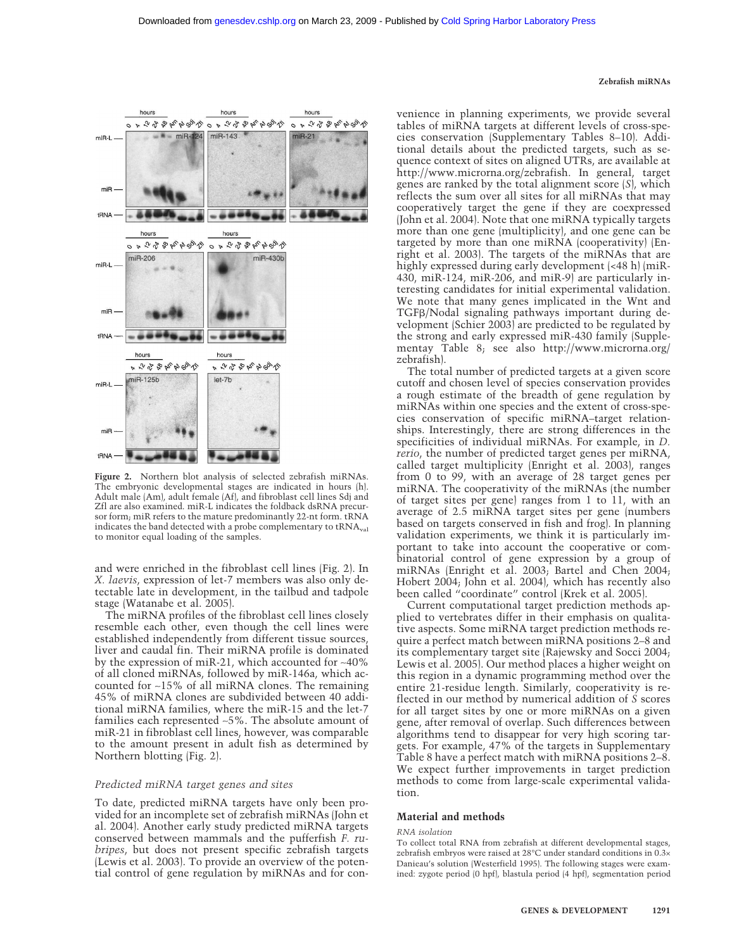#### **Zebrafish miRNAs**



**Figure 2.** Northern blot analysis of selected zebrafish miRNAs. The embryonic developmental stages are indicated in hours (h). Adult male (Am), adult female (Af), and fibroblast cell lines Sdj and Zfl are also examined. miR-L indicates the foldback dsRNA precursor form; miR refers to the mature predominantly 22-nt form. tRNA indicates the band detected with a probe complementary to  $tRNA_{val}$ to monitor equal loading of the samples.

and were enriched in the fibroblast cell lines (Fig. 2). In *X. laevis*, expression of let-7 members was also only detectable late in development, in the tailbud and tadpole stage (Watanabe et al. 2005).

The miRNA profiles of the fibroblast cell lines closely resemble each other, even though the cell lines were established independently from different tissue sources, liver and caudal fin. Their miRNA profile is dominated by the expression of miR-21, which accounted for ∼40% of all cloned miRNAs, followed by miR-146a, which accounted for ∼15% of all miRNA clones. The remaining 45% of miRNA clones are subdivided between 40 additional miRNA families, where the miR-15 and the let-7 families each represented ∼5%. The absolute amount of miR-21 in fibroblast cell lines, however, was comparable to the amount present in adult fish as determined by Northern blotting (Fig. 2).

#### *Predicted miRNA target genes and sites*

To date, predicted miRNA targets have only been provided for an incomplete set of zebrafish miRNAs (John et al. 2004). Another early study predicted miRNA targets conserved between mammals and the pufferfish *F. rubripes*, but does not present specific zebrafish targets (Lewis et al. 2003). To provide an overview of the potential control of gene regulation by miRNAs and for convenience in planning experiments, we provide several tables of miRNA targets at different levels of cross-species conservation (Supplementary Tables 8–10). Additional details about the predicted targets, such as sequence context of sites on aligned UTRs, are available at http://www.microrna.org/zebrafish. In general, target genes are ranked by the total alignment score (*S*), which reflects the sum over all sites for all miRNAs that may cooperatively target the gene if they are coexpressed (John et al. 2004). Note that one miRNA typically targets more than one gene (multiplicity), and one gene can be targeted by more than one miRNA (cooperativity) (Enright et al. 2003). The targets of the miRNAs that are highly expressed during early development  $\left($  <48 h)  $\right)$  (miR-430, miR-124, miR-206, and miR-9) are particularly interesting candidates for initial experimental validation. We note that many genes implicated in the Wnt and  $TGF\beta/Nodal$  signaling pathways important during development (Schier 2003) are predicted to be regulated by the strong and early expressed miR-430 family (Supplementay Table 8; see also http://www.microrna.org/ zebrafish).

The total number of predicted targets at a given score cutoff and chosen level of species conservation provides a rough estimate of the breadth of gene regulation by miRNAs within one species and the extent of cross-species conservation of specific miRNA–target relationships. Interestingly, there are strong differences in the specificities of individual miRNAs. For example, in *D. rerio*, the number of predicted target genes per miRNA, called target multiplicity (Enright et al. 2003), ranges from 0 to 99, with an average of 28 target genes per miRNA. The cooperativity of the miRNAs (the number of target sites per gene) ranges from 1 to 11, with an average of 2.5 miRNA target sites per gene (numbers based on targets conserved in fish and frog). In planning validation experiments, we think it is particularly important to take into account the cooperative or combinatorial control of gene expression by a group of miRNAs (Enright et al. 2003; Bartel and Chen 2004; Hobert 2004; John et al. 2004), which has recently also been called "coordinate" control (Krek et al. 2005).

Current computational target prediction methods applied to vertebrates differ in their emphasis on qualitative aspects. Some miRNA target prediction methods require a perfect match between miRNA positions 2–8 and its complementary target site (Rajewsky and Socci 2004; Lewis et al. 2005). Our method places a higher weight on this region in a dynamic programming method over the entire 21-residue length. Similarly, cooperativity is reflected in our method by numerical addition of *S* scores for all target sites by one or more miRNAs on a given gene, after removal of overlap. Such differences between algorithms tend to disappear for very high scoring targets. For example, 47% of the targets in Supplementary Table 8 have a perfect match with miRNA positions 2–8. We expect further improvements in target prediction methods to come from large-scale experimental validation.

#### **Material and methods**

#### *RNA isolation*

To collect total RNA from zebrafish at different developmental stages, zebrafish embryos were raised at 28°C under standard conditions in 0.3× Danieau's solution (Westerfield 1995). The following stages were examined: zygote period (0 hpf), blastula period (4 hpf), segmentation period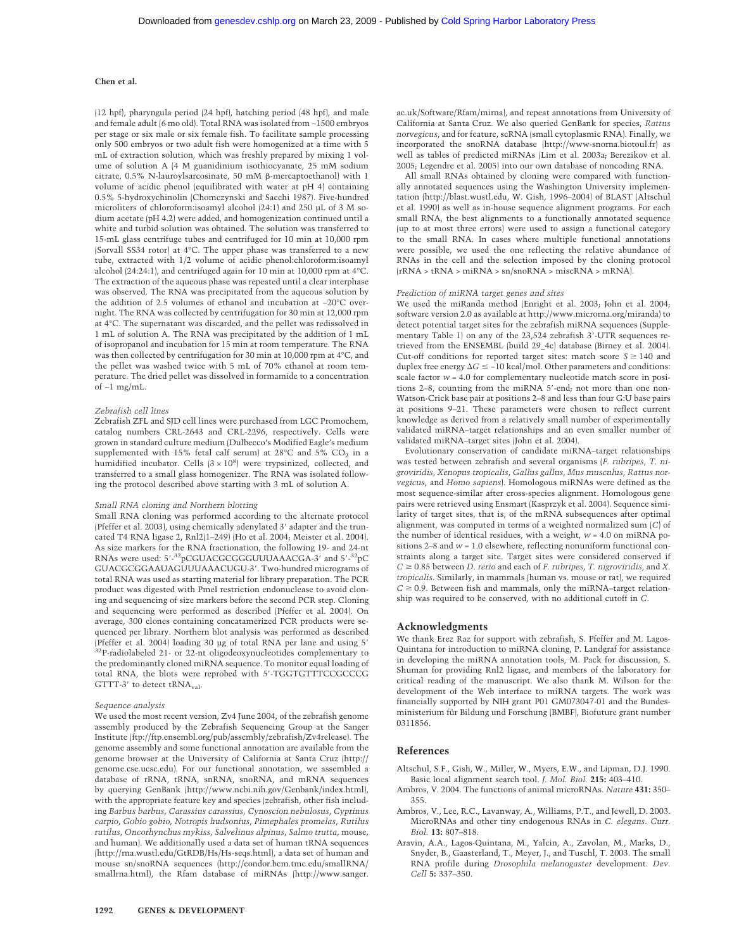#### **Chen et al.**

(12 hpf), pharyngula period (24 hpf), hatching period (48 hpf), and male and female adult (6 mo old). Total RNA was isolated from ∼1500 embryos per stage or six male or six female fish. To facilitate sample processing only 500 embryos or two adult fish were homogenized at a time with 5 mL of extraction solution, which was freshly prepared by mixing 1 volume of solution A (4 M guanidinium isothiocyanate, 25 mM sodium citrate, 0.5% N-lauroylsarcosinate, 50 mM  $\beta$ -mercaptoethanol) with 1 volume of acidic phenol (equilibrated with water at pH 4) containing 0.5% 5-hydroxychinolin (Chomczynski and Sacchi 1987). Five-hundred microliters of chloroform:isoamyl alcohol (24:1) and 250 µL of 3 M sodium acetate (pH 4.2) were added, and homogenization continued until a white and turbid solution was obtained. The solution was transferred to 15-mL glass centrifuge tubes and centrifuged for 10 min at 10,000 rpm (Sorvall SS34 rotor) at 4°C. The upper phase was transferred to a new tube, extracted with 1/2 volume of acidic phenol:chloroform:isoamyl alcohol (24:24:1), and centrifuged again for 10 min at 10,000 rpm at 4°C. The extraction of the aqueous phase was repeated until a clear interphase was observed. The RNA was precipitated from the aqueous solution by the addition of 2.5 volumes of ethanol and incubation at −20°C overnight. The RNA was collected by centrifugation for 30 min at 12,000 rpm at 4°C. The supernatant was discarded, and the pellet was redissolved in 1 mL of solution A. The RNA was precipitated by the addition of 1 mL of isopropanol and incubation for 15 min at room temperature. The RNA was then collected by centrifugation for 30 min at 10,000 rpm at 4°C, and the pellet was washed twice with 5 mL of 70% ethanol at room temperature. The dried pellet was dissolved in formamide to a concentration of ∼1 mg/mL.

#### *Zebrafish cell lines*

Zebrafish ZFL and SJD cell lines were purchased from LGC Promochem, catalog numbers CRL-2643 and CRL-2296, respectively. Cells were grown in standard culture medium (Dulbecco's Modified Eagle's medium supplemented with 15% fetal calf serum) at  $28^{\circ}$ C and 5% CO<sub>2</sub> in a humidified incubator. Cells  $(3 \times 10^8)$  were trypsinized, collected, and transferred to a small glass homogenizer. The RNA was isolated following the protocol described above starting with 3 mL of solution A.

#### *Small RNA cloning and Northern blotting*

Small RNA cloning was performed according to the alternate protocol (Pfeffer et al. 2003), using chemically adenylated 3' adapter and the truncated T4 RNA ligase 2, Rnl2(1–249) (Ho et al. 2004; Meister et al. 2004). As size markers for the RNA fractionation, the following 19- and 24-nt RNAs were used: 5'-<sup>32</sup>pCGUACGCGGGUUUAAACGA-3' and 5'-<sup>32</sup>pC GUACGCGGAAUAGUUUAAACUGU-3. Two-hundred micrograms of total RNA was used as starting material for library preparation. The PCR product was digested with PmeI restriction endonuclease to avoid cloning and sequencing of size markers before the second PCR step. Cloning and sequencing were performed as described (Pfeffer et al. 2004). On average, 300 clones containing concatamerized PCR products were sequenced per library. Northern blot analysis was performed as described (Pfeffer et al. 2004) loading 30 µg of total RNA per lane and using 5 <sup>32</sup>P-radiolabeled 21- or 22-nt oligodeoxynucleotides complementary to the predominantly cloned miRNA sequence. To monitor equal loading of total RNA, the blots were reprobed with 5'-TGGTGTTTCCGCCCG GTTT-3' to detect  $tRNA<sub>val</sub>$ .

#### *Sequence analysis*

We used the most recent version, Zv4 June 2004, of the zebrafish genome assembly produced by the Zebrafish Sequencing Group at the Sanger Institute (ftp://ftp.ensembl.org/pub/assembly/zebrafish/Zv4release). The genome assembly and some functional annotation are available from the genome browser at the University of California at Santa Cruz (http:// genome.cse.ucsc.edu). For our functional annotation, we assembled a database of rRNA, tRNA, snRNA, snoRNA, and mRNA sequences by querying GenBank (http://www.ncbi.nih.gov/Genbank/index.html), with the appropriate feature key and species (zebrafish, other fish including *Barbus barbus*, *Carassius carassius*, *Cynoscion nebulosus*, *Cyprinus carpio*, *Gobio gobio*, *Notropis hudsonius*, *Pimephales promelas*, *Rutilus rutilus*, *Oncorhynchus mykiss*, *Salvelinus alpinus*, *Salmo trutta*, mouse, and human). We additionally used a data set of human tRNA sequences (http://rna.wustl.edu/GtRDB/Hs/Hs-seqs.html), a data set of human and mouse sn/snoRNA sequences (http://condor.bcm.tmc.edu/smallRNA/ smallrna.html), the Rfam database of miRNAs (http://www.sanger.

ac.uk/Software/Rfam/mirna), and repeat annotations from University of California at Santa Cruz. We also queried GenBank for species, *Rattus norvegicus*, and for feature, scRNA (small cytoplasmic RNA). Finally, we incorporated the snoRNA database (http://www-snorna.biotoul.fr) as well as tables of predicted miRNAs (Lim et al. 2003a; Berezikov et al. 2005; Legendre et al. 2005) into our own database of noncoding RNA.

All small RNAs obtained by cloning were compared with functionally annotated sequences using the Washington University implementation (http://blast.wustl.edu, W. Gish, 1996–2004) of BLAST (Altschul et al. 1990) as well as in-house sequence alignment programs. For each small RNA, the best alignments to a functionally annotated sequence (up to at most three errors) were used to assign a functional category to the small RNA. In cases where multiple functional annotations were possible, we used the one reflecting the relative abundance of RNAs in the cell and the selection imposed by the cloning protocol (rRNA > tRNA > miRNA > sn/snoRNA > miscRNA > mRNA).

#### *Prediction of miRNA target genes and sites*

We used the miRanda method (Enright et al. 2003; John et al. 2004; software version 2.0 as available at http://www.microrna.org/miranda) to detect potential target sites for the zebrafish miRNA sequences (Supplementary Table 1) on any of the 23,524 zebrafish 3-UTR sequences retrieved from the ENSEMBL (build 29\_4c) database (Birney et al. 2004). Cut-off conditions for reported target sites: match score  $S \ge 140$  and duplex free energy  $\Delta G \le -10$  kcal/mol. Other parameters and conditions: scale factor *w* = 4.0 for complementary nucleotide match score in positions 2–8, counting from the miRNA 5'-end; not more than one non-Watson-Crick base pair at positions 2–8 and less than four G:U base pairs at positions 9–21. These parameters were chosen to reflect current knowledge as derived from a relatively small number of experimentally validated miRNA–target relationships and an even smaller number of validated miRNA–target sites (John et al. 2004).

Evolutionary conservation of candidate miRNA–target relationships was tested between zebrafish and several organisms (*F. rubripes*, *T. nigroviridis*, *Xenopus tropicalis*, *Gallus gallus*, *Mus musculus*, *Rattus norvegicus*, and *Homo sapiens*). Homologous miRNAs were defined as the most sequence-similar after cross-species alignment. Homologous gene pairs were retrieved using Ensmart (Kasprzyk et al. 2004). Sequence similarity of target sites, that is, of the mRNA subsequences after optimal alignment, was computed in terms of a weighted normalized sum (*C*) of the number of identical residues, with a weight, *w* = 4.0 on miRNA positions 2–8 and *w* = 1.0 elsewhere, reflecting nonuniform functional constraints along a target site. Target sites were considered conserved if  $C \geq 0.85$  between *D. rerio* and each of *F. rubripes*, *T. nigroviridis*, and *X. tropicalis*. Similarly, in mammals (human vs. mouse or rat), we required  $C \geq 0.9$ . Between fish and mammals, only the miRNA–target relationship was required to be conserved, with no additional cutoff in *C*.

#### **Acknowledgments**

We thank Erez Raz for support with zebrafish, S. Pfeffer and M. Lagos-Quintana for introduction to miRNA cloning, P. Landgraf for assistance in developing the miRNA annotation tools, M. Pack for discussion, S. Shuman for providing Rnl2 ligase, and members of the laboratory for critical reading of the manuscript. We also thank M. Wilson for the development of the Web interface to miRNA targets. The work was financially supported by NIH grant P01 GM073047-01 and the Bundesministerium für Bildung und Forschung (BMBF), Biofuture grant number 0311856.

### **References**

- Altschul, S.F., Gish, W., Miller, W., Myers, E.W., and Lipman, D.J. 1990. Basic local alignment search tool. *J. Mol. Biol.* **215:** 403–410.
- Ambros, V. 2004. The functions of animal microRNAs. *Nature* **431:** 350– 355.
- Ambros, V., Lee, R.C., Lavanway, A., Williams, P.T., and Jewell, D. 2003. MicroRNAs and other tiny endogenous RNAs in *C. elegans*. *Curr. Biol.* **13:** 807–818.
- Aravin, A.A., Lagos-Quintana, M., Yalcin, A., Zavolan, M., Marks, D., Snyder, B., Gaasterland, T., Meyer, J., and Tuschl, T. 2003. The small RNA profile during *Drosophila melanogaster* development. *Dev. Cell* **5:** 337–350.